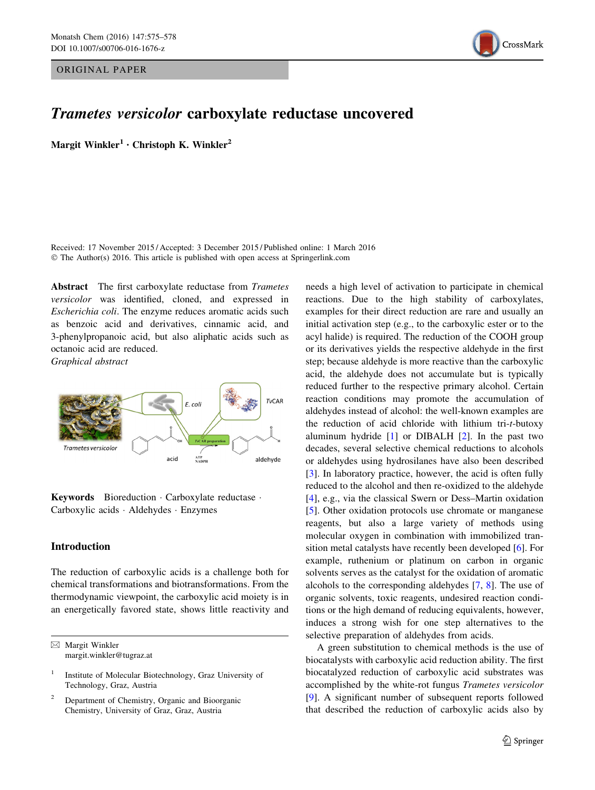ORIGINAL PAPER



# Trametes versicolor carboxylate reductase uncovered

Margit Winkler<sup>1</sup> • Christoph K. Winkler<sup>2</sup>

Received: 17 November 2015 / Accepted: 3 December 2015 / Published online: 1 March 2016 © The Author(s) 2016. This article is published with open access at Springerlink.com

Abstract The first carboxylate reductase from Trametes versicolor was identified, cloned, and expressed in Escherichia coli. The enzyme reduces aromatic acids such as benzoic acid and derivatives, cinnamic acid, and 3-phenylpropanoic acid, but also aliphatic acids such as octanoic acid are reduced.

Graphical abstract



Keywords Bioreduction - Carboxylate reductase - Carboxylic acids - Aldehydes - Enzymes

## Introduction

The reduction of carboxylic acids is a challenge both for chemical transformations and biotransformations. From the thermodynamic viewpoint, the carboxylic acid moiety is in an energetically favored state, shows little reactivity and

 $\boxtimes$  Margit Winkler margit.winkler@tugraz.at

<sup>2</sup> Department of Chemistry, Organic and Bioorganic Chemistry, University of Graz, Graz, Austria

needs a high level of activation to participate in chemical reactions. Due to the high stability of carboxylates, examples for their direct reduction are rare and usually an initial activation step (e.g., to the carboxylic ester or to the acyl halide) is required. The reduction of the COOH group or its derivatives yields the respective aldehyde in the first step; because aldehyde is more reactive than the carboxylic acid, the aldehyde does not accumulate but is typically reduced further to the respective primary alcohol. Certain reaction conditions may promote the accumulation of aldehydes instead of alcohol: the well-known examples are the reduction of acid chloride with lithium tri-t-butoxy aluminum hydride [\[1](#page-3-0)] or DIBALH [\[2](#page-3-0)]. In the past two decades, several selective chemical reductions to alcohols or aldehydes using hydrosilanes have also been described [\[3](#page-3-0)]. In laboratory practice, however, the acid is often fully reduced to the alcohol and then re-oxidized to the aldehyde [\[4](#page-3-0)], e.g., via the classical Swern or Dess–Martin oxidation [\[5](#page-3-0)]. Other oxidation protocols use chromate or manganese reagents, but also a large variety of methods using molecular oxygen in combination with immobilized transition metal catalysts have recently been developed [\[6](#page-3-0)]. For example, ruthenium or platinum on carbon in organic solvents serves as the catalyst for the oxidation of aromatic alcohols to the corresponding aldehydes [\[7,](#page-3-0) [8\]](#page-3-0). The use of organic solvents, toxic reagents, undesired reaction conditions or the high demand of reducing equivalents, however, induces a strong wish for one step alternatives to the selective preparation of aldehydes from acids.

A green substitution to chemical methods is the use of biocatalysts with carboxylic acid reduction ability. The first biocatalyzed reduction of carboxylic acid substrates was accomplished by the white-rot fungus Trametes versicolor [\[9](#page-3-0)]. A significant number of subsequent reports followed that described the reduction of carboxylic acids also by

<sup>1</sup> Institute of Molecular Biotechnology, Graz University of Technology, Graz, Austria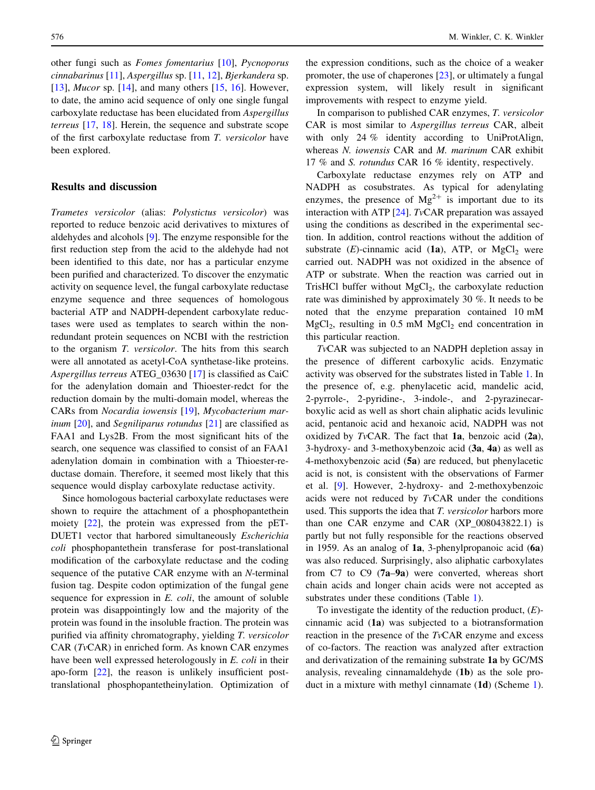other fungi such as Fomes fomentarius [\[10](#page-3-0)], Pycnoporus cinnabarinus [\[11](#page-3-0)], Aspergillus sp. [\[11](#page-3-0), [12](#page-3-0)], Bjerkandera sp. [\[13](#page-3-0)], *Mucor* sp. [\[14](#page-3-0)], and many others  $[15, 16]$  $[15, 16]$  $[15, 16]$ . However, to date, the amino acid sequence of only one single fungal carboxylate reductase has been elucidated from Aspergillus terreus [[17,](#page-3-0) [18\]](#page-3-0). Herein, the sequence and substrate scope of the first carboxylate reductase from T. versicolor have been explored.

### Results and discussion

Trametes versicolor (alias: Polystictus versicolor) was reported to reduce benzoic acid derivatives to mixtures of aldehydes and alcohols [[9\]](#page-3-0). The enzyme responsible for the first reduction step from the acid to the aldehyde had not been identified to this date, nor has a particular enzyme been purified and characterized. To discover the enzymatic activity on sequence level, the fungal carboxylate reductase enzyme sequence and three sequences of homologous bacterial ATP and NADPH-dependent carboxylate reductases were used as templates to search within the nonredundant protein sequences on NCBI with the restriction to the organism T. versicolor. The hits from this search were all annotated as acetyl-CoA synthetase-like proteins. Aspergillus terreus ATEG\_03630 [[17\]](#page-3-0) is classified as CaiC for the adenylation domain and Thioester-redct for the reduction domain by the multi-domain model, whereas the CARs from Nocardia iowensis [\[19](#page-3-0)], Mycobacterium mar*inum* [\[20](#page-3-0)], and *Segniliparus rotundus* [[21\]](#page-3-0) are classified as FAA1 and Lys2B. From the most significant hits of the search, one sequence was classified to consist of an FAA1 adenylation domain in combination with a Thioester-reductase domain. Therefore, it seemed most likely that this sequence would display carboxylate reductase activity.

Since homologous bacterial carboxylate reductases were shown to require the attachment of a phosphopantethein moiety [[22\]](#page-3-0), the protein was expressed from the pET-DUET1 vector that harbored simultaneously Escherichia coli phosphopantethein transferase for post-translational modification of the carboxylate reductase and the coding sequence of the putative CAR enzyme with an N-terminal fusion tag. Despite codon optimization of the fungal gene sequence for expression in E. coli, the amount of soluble protein was disappointingly low and the majority of the protein was found in the insoluble fraction. The protein was purified via affinity chromatography, yielding T. versicolor CAR (TvCAR) in enriched form. As known CAR enzymes have been well expressed heterologously in E. coli in their apo-form [\[22](#page-3-0)], the reason is unlikely insufficient posttranslational phosphopantetheinylation. Optimization of

the expression conditions, such as the choice of a weaker promoter, the use of chaperones [[23\]](#page-3-0), or ultimately a fungal expression system, will likely result in significant improvements with respect to enzyme yield.

In comparison to published CAR enzymes, T. versicolor CAR is most similar to Aspergillus terreus CAR, albeit with only 24 % identity according to UniProtAlign, whereas N. iowensis CAR and M. marinum CAR exhibit 17 % and S. rotundus CAR 16 % identity, respectively.

Carboxylate reductase enzymes rely on ATP and NADPH as cosubstrates. As typical for adenylating enzymes, the presence of  $Mg^{2+}$  is important due to its interaction with ATP [\[24](#page-3-0)]. TvCAR preparation was assayed using the conditions as described in the experimental section. In addition, control reactions without the addition of substrate (E)-cinnamic acid (1a), ATP, or MgCl<sub>2</sub> were carried out. NADPH was not oxidized in the absence of ATP or substrate. When the reaction was carried out in TrisHCl buffer without  $MgCl<sub>2</sub>$ , the carboxylate reduction rate was diminished by approximately 30 %. It needs to be noted that the enzyme preparation contained 10 mM  $MgCl<sub>2</sub>$ , resulting in 0.5 mM  $MgCl<sub>2</sub>$  end concentration in this particular reaction.

TvCAR was subjected to an NADPH depletion assay in the presence of different carboxylic acids. Enzymatic activity was observed for the substrates listed in Table [1.](#page-2-0) In the presence of, e.g. phenylacetic acid, mandelic acid, 2-pyrrole-, 2-pyridine-, 3-indole-, and 2-pyrazinecarboxylic acid as well as short chain aliphatic acids levulinic acid, pentanoic acid and hexanoic acid, NADPH was not oxidized by TvCAR. The fact that  $1a$ , benzoic acid  $(2a)$ , 3-hydroxy- and 3-methoxybenzoic acid  $(3a, 4a)$  as well as 4-methoxybenzoic acid (5a) are reduced, but phenylacetic acid is not, is consistent with the observations of Farmer et al. [[9\]](#page-3-0). However, 2-hydroxy- and 2-methoxybenzoic acids were not reduced by TvCAR under the conditions used. This supports the idea that T. versicolor harbors more than one CAR enzyme and CAR (XP\_008043822.1) is partly but not fully responsible for the reactions observed in 1959. As an analog of 1a, 3-phenylpropanoic acid (6a) was also reduced. Surprisingly, also aliphatic carboxylates from C7 to C9 (7a–9a) were converted, whereas short chain acids and longer chain acids were not accepted as substrates under these conditions (Table [1](#page-2-0)).

To investigate the identity of the reduction product,  $(E)$ cinnamic acid (1a) was subjected to a biotransformation reaction in the presence of the  $TvCAR$  enzyme and excess of co-factors. The reaction was analyzed after extraction and derivatization of the remaining substrate 1a by GC/MS analysis, revealing cinnamaldehyde (1b) as the sole product in a mixture with methyl cinnamate (1d) (Scheme [1](#page-2-0)).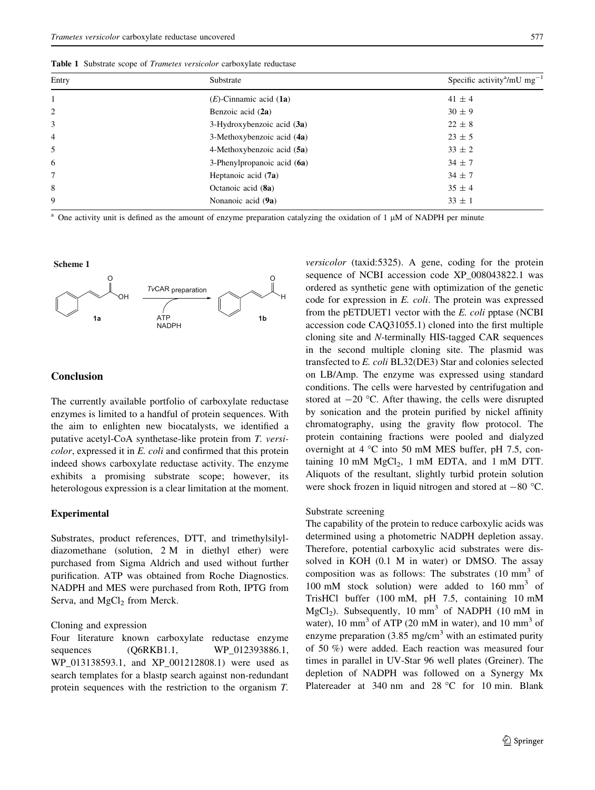<span id="page-2-0"></span>Table 1 Substrate scope of Trametes versicolor carboxylate reductase

| Entry          | Substrate                     | Specific activity <sup>a</sup> /mU mg <sup>-1</sup> |
|----------------|-------------------------------|-----------------------------------------------------|
|                | $(E)$ -Cinnamic acid (1a)     | $41 \pm 4$                                          |
| $\overline{c}$ | Benzoic acid (2a)             | $30 \pm 9$                                          |
| 3              | $3-Hydroxybenzoic acid (3a)$  | $22 \pm 8$                                          |
| 4              | 3-Methoxybenzoic acid (4a)    | $23 \pm 5$                                          |
| 5              | 4-Methoxybenzoic acid (5a)    | $33 \pm 2$                                          |
| 6              | 3-Phenylpropanoic acid $(6a)$ | $34 \pm 7$                                          |
| 7              | Heptanoic acid (7a)           | $34 \pm 7$                                          |
| 8              | Octanoic acid (8a)            | $35 \pm 4$                                          |
| 9              | Nonanoic acid (9a)            | $33 \pm 1$                                          |

<sup>a</sup> One activity unit is defined as the amount of enzyme preparation catalyzing the oxidation of  $1 \mu M$  of NADPH per minute

#### **Scheme 1**



#### **Conclusion**

The currently available portfolio of carboxylate reductase enzymes is limited to a handful of protein sequences. With the aim to enlighten new biocatalysts, we identified a putative acetyl-CoA synthetase-like protein from T. versicolor, expressed it in E. coli and confirmed that this protein indeed shows carboxylate reductase activity. The enzyme exhibits a promising substrate scope; however, its heterologous expression is a clear limitation at the moment.

#### Experimental

Substrates, product references, DTT, and trimethylsilyldiazomethane (solution, 2 M in diethyl ether) were purchased from Sigma Aldrich and used without further purification. ATP was obtained from Roche Diagnostics. NADPH and MES were purchased from Roth, IPTG from Serva, and MgCl<sub>2</sub> from Merck.

## Cloning and expression

Four literature known carboxylate reductase enzyme sequences (Q6RKB1.1, WP\_012393886.1, WP\_013138593.1, and XP\_001212808.1) were used as search templates for a blastp search against non-redundant protein sequences with the restriction to the organism T.

versicolor (taxid:5325). A gene, coding for the protein sequence of NCBI accession code XP\_008043822.1 was ordered as synthetic gene with optimization of the genetic code for expression in E. coli. The protein was expressed from the pETDUET1 vector with the E. coli pptase (NCBI accession code CAQ31055.1) cloned into the first multiple cloning site and N-terminally HIS-tagged CAR sequences in the second multiple cloning site. The plasmid was transfected to E. coli BL32(DE3) Star and colonies selected on LB/Amp. The enzyme was expressed using standard conditions. The cells were harvested by centrifugation and stored at  $-20$  °C. After thawing, the cells were disrupted by sonication and the protein purified by nickel affinity chromatography, using the gravity flow protocol. The protein containing fractions were pooled and dialyzed overnight at  $4 \degree C$  into 50 mM MES buffer, pH 7.5, containing 10 mM  $MgCl<sub>2</sub>$ , 1 mM EDTA, and 1 mM DTT. Aliquots of the resultant, slightly turbid protein solution were shock frozen in liquid nitrogen and stored at  $-80$  °C.

#### Substrate screening

The capability of the protein to reduce carboxylic acids was determined using a photometric NADPH depletion assay. Therefore, potential carboxylic acid substrates were dissolved in KOH (0.1 M in water) or DMSO. The assay composition was as follows: The substrates  $(10 \text{ mm}^3 \text{ of}$ 100 mM stock solution) were added to 160 mm<sup>3</sup> of TrisHCl buffer (100 mM, pH 7.5, containing 10 mM MgCl<sub>2</sub>). Subsequently, 10 mm<sup>3</sup> of NADPH (10 mM in water), 10 mm<sup>3</sup> of ATP (20 mM in water), and 10 mm<sup>3</sup> of enzyme preparation  $(3.85 \text{ mg/cm}^3)$  with an estimated purity of 50 %) were added. Each reaction was measured four times in parallel in UV-Star 96 well plates (Greiner). The depletion of NADPH was followed on a Synergy Mx Platereader at 340 nm and 28 °C for 10 min. Blank